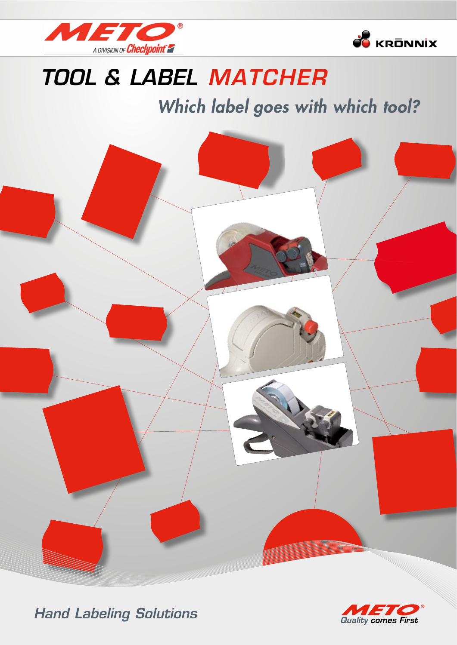



## **TOOL & LABEL MATCHER**

## Which label goes with which tool?





**Hand Labeling Solutions**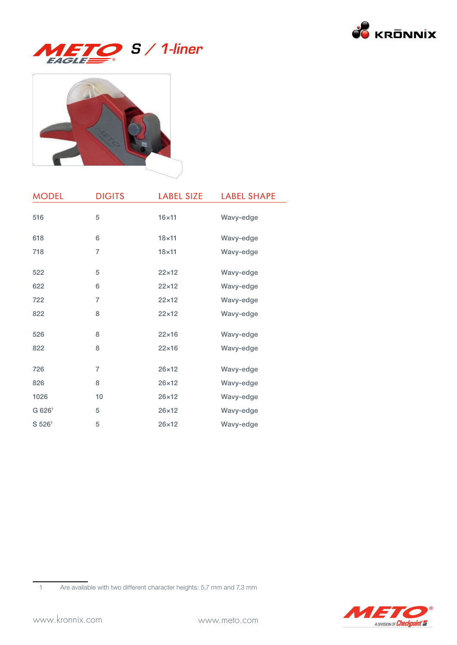





| <b>MODEL</b>       | <b>DIGITS</b> | <b>LABEL SIZE</b> | <b>LABEL SHAPE</b> |
|--------------------|---------------|-------------------|--------------------|
| 516                | 5             | $16\times11$      | Wavy-edge          |
| 618                | 6             | $18\times11$      | Wavy-edge          |
| 718                | 7             | $18\times11$      | Wavy-edge          |
| 522                | 5             | $22\times12$      | Wavy-edge          |
| 622                | 6             | $22\times12$      | Wavy-edge          |
| 722                | 7             | $22\times12$      | Wavy-edge          |
| 822                | 8             | $22\times12$      | Wavy-edge          |
| 526                | 8             | $22\times16$      | Wavy-edge          |
| 822                | 8             | $22\times16$      | Wavy-edge          |
| 726                | 7             | $26\times12$      | Wavy-edge          |
| 826                | 8             | $26\times12$      | Wavy-edge          |
| 1026               | 10            | $26\times12$      | Wavy-edge          |
| G 626 <sup>1</sup> | 5             | $26\times12$      | Wavy-edge          |
| S 526 <sup>1</sup> | 5             | $26\times12$      | Wavy-edge          |

1 Are available with two different character heights: 5,7 mm and 7,3 mm

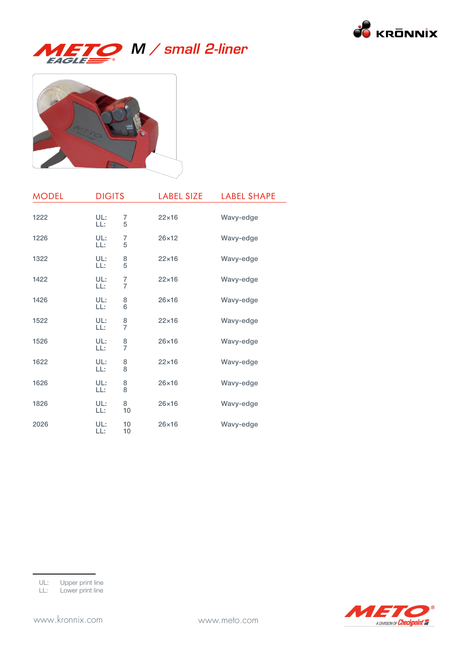

# M / small 2-liner



| <b>MODEL</b> | <b>DIGITS</b> |                     | <b>LABEL SIZE</b> | <b>LABEL SHAPE</b> |
|--------------|---------------|---------------------|-------------------|--------------------|
| 1222         | UL:<br>LL:    | 7<br>5              | $22\times16$      | Wavy-edge          |
| 1226         | UL:<br>LL:    | 7<br>5              | $26\times12$      | Wavy-edge          |
| 1322         | UL:<br>LL:    | $rac{8}{5}$         | $22\times16$      | Wavy-edge          |
| 1422         | UL:<br>LL:    | 7<br>$\overline{7}$ | $22\times16$      | Wavy-edge          |
| 1426         | UL:<br>LL:    | 8<br>6              | $26\times16$      | Wavy-edge          |
| 1522         | UL:<br>LL:    | $\frac{8}{7}$       | $22\times16$      | Wavy-edge          |
| 1526         | UL:<br>LL:    | $\frac{8}{7}$       | $26\times16$      | Wavy-edge          |
| 1622         | UL:<br>LL:    | $\frac{8}{8}$       | $22\times16$      | Wavy-edge          |
| 1626         | UL:<br>LL:    | 8<br>8              | $26\times16$      | Wavy-edge          |
| 1826         | UL:<br>LL:    | 8<br>10             | $26\times16$      | Wavy-edge          |
| 2026         | UL:<br>LL:    | 10<br>10            | $26\times16$      | Wavy-edge          |

LL: Lower print line

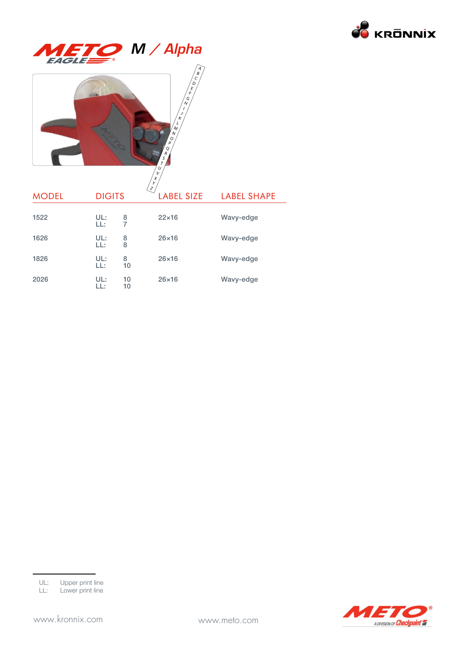





| <b>MODEL</b> | <b>DIGITS</b> |          | Y<br>$\left\langle \mathcal{Z}\right\rangle$<br><b>LABEL SIZE</b> | <b>LABEL SHAPE</b> |
|--------------|---------------|----------|-------------------------------------------------------------------|--------------------|
| 1522         | UL:<br>LL:    | 8<br>7   | $22\times16$                                                      | Wavy-edge          |
| 1626         | UL:<br>LL:    | 8<br>8   | $26\times16$                                                      | Wavy-edge          |
| 1826         | UL:<br>LL:    | 8<br>10  | $26\times16$                                                      | Wavy-edge          |
| 2026         | UL:<br>LL:    | 10<br>10 | $26\times16$                                                      | Wavy-edge          |

X



UL: Upper print line

LL: Lower print line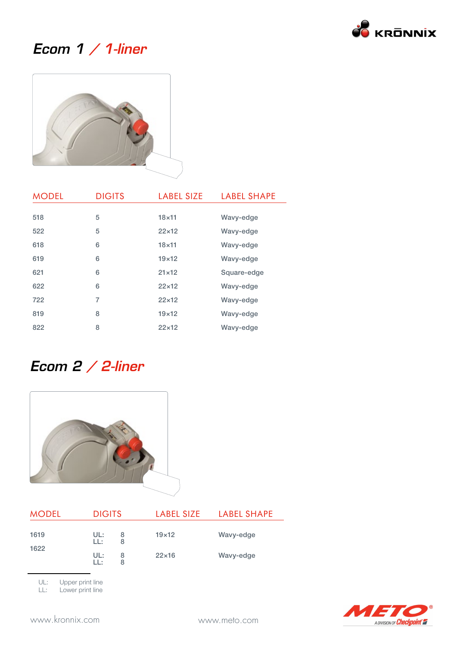

#### Ecom 1 / 1-liner



| <b>MODEL</b> | <b>DIGITS</b> | <b>LABEL SIZE</b> | <b>LABEL SHAPE</b> |
|--------------|---------------|-------------------|--------------------|
|              |               |                   |                    |
| 518          | 5             | $18\times11$      | Wavy-edge          |
| 522          | 5             | $22\times12$      | Wavy-edge          |
| 618          | 6             | $18\times11$      | Wavy-edge          |
| 619          | 6             | $19\times12$      | Wavy-edge          |
| 621          | 6             | $21\times12$      | Square-edge        |
| 622          | 6             | $22\times12$      | Wavy-edge          |
| 722          | 7             | $22\times12$      | Wavy-edge          |
| 819          | 8             | $19\times12$      | Wavy-edge          |
| 822          | 8             | $22\times12$      | Wavy-edge          |

#### Ecom 2 / 2-liner



| <b>MODEL</b> | <b>DIGITS</b> |        | LABEL SIZE   | <b>LABEL SHAPE</b> |
|--------------|---------------|--------|--------------|--------------------|
| 1619         | UL:<br>LL:    | 8<br>8 | $19\times12$ | Wavy-edge          |
| 1622         | UL:<br>LL:    | 8<br>8 | $22\times16$ | Wavy-edge          |

UL: Upper print line<br>LL: Lower print line

Lower print line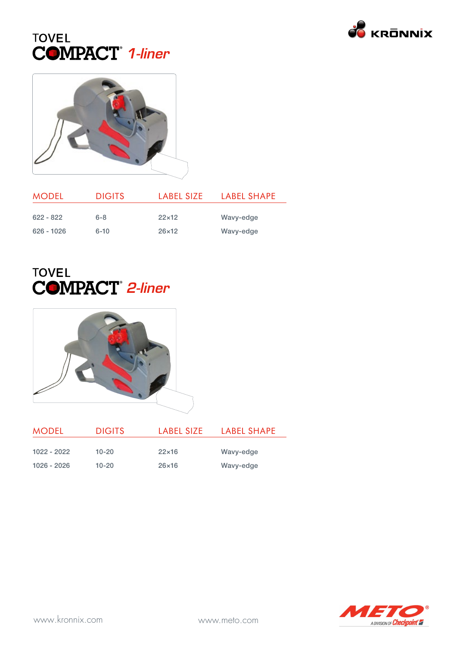





| <b>MODEL</b> | <b>DIGITS</b> | LABEL SIZE   | LABEL SHAPE |
|--------------|---------------|--------------|-------------|
| $622 - 822$  | $6 - 8$       | $22\times12$ | Wavy-edge   |
| $626 - 1026$ | $6 - 10$      | $26\times12$ | Wavy-edge   |

#### **TOVEL** COMPACT<sup>®</sup> 2-liner



| <b>MODEL</b>  | <b>DIGITS</b> | LABEL SIZE   | LABEL SHAPE |
|---------------|---------------|--------------|-------------|
|               |               |              |             |
| $1022 - 2022$ | $10 - 20$     | $22\times16$ | Wavy-edge   |
| 1026 - 2026   | $10 - 20$     | $26\times16$ | Wavy-edge   |

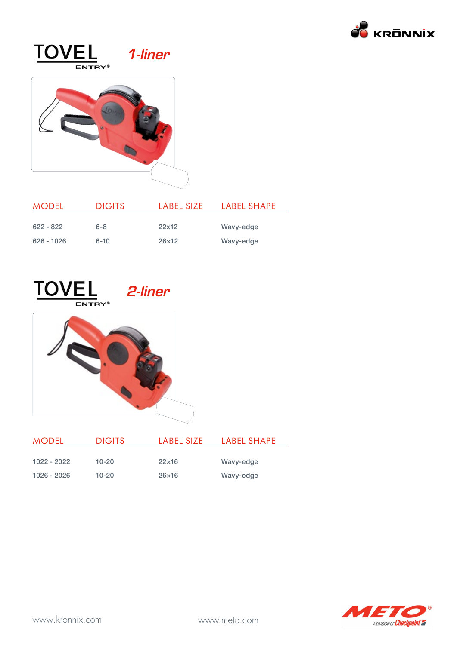

#### **TOVEL** 1-liner ENTRY<sup>®</sup>



| <b>MODEL</b> | <b>DIGITS</b> | LABEL SIZE   | LABEL SHAPE |
|--------------|---------------|--------------|-------------|
| $622 - 822$  | $6 - 8$       | 22x12        | Wavy-edge   |
| $626 - 1026$ |               | $26\times12$ |             |
|              | $6 - 10$      |              | Wavy-edge   |





| <b>MODEL</b>  | <b>DIGITS</b> | LABEL SIZE   | LABEL SHAPE |
|---------------|---------------|--------------|-------------|
| $1022 - 2022$ | $10 - 20$     | $22\times16$ | Wavy-edge   |
| 1026 - 2026   | $10 - 20$     | $26\times16$ | Wavy-edge   |

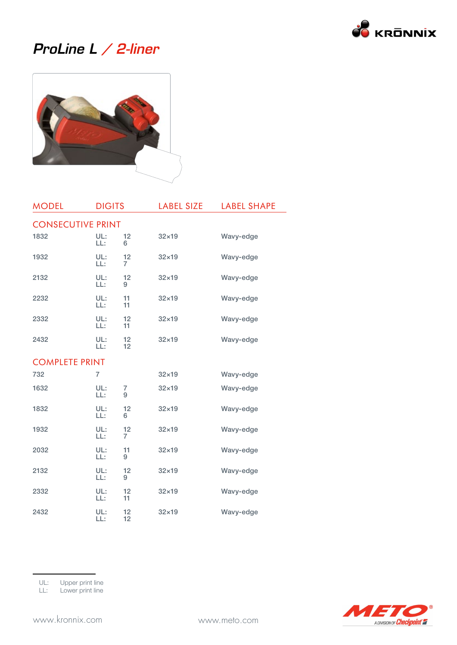

#### ProLine L / 2-liner



| <b>MODEL</b>             | <b>DIGITS</b>  |          | <b>LABEL SIZE</b> | <b>LABEL SHAPE</b> |
|--------------------------|----------------|----------|-------------------|--------------------|
| <b>CONSECUTIVE PRINT</b> |                |          |                   |                    |
| 1832                     | UL:<br>LL:     | 12<br>6  | $32\times19$      | Wavy-edge          |
| 1932                     | UL:<br>LL:     | 12<br>7  | $32\times19$      | Wavy-edge          |
| 2132                     | UL:<br>LL:     | 12<br>9  | $32\times19$      | Wavy-edge          |
| 2232                     | UL:<br>LL:     | 11<br>11 | $32\times19$      | Wavy-edge          |
| 2332                     | UL:<br>LL:     | 12<br>11 | $32\times19$      | Wavy-edge          |
| 2432                     | UL:<br>LL:     | 12<br>12 | $32\times19$      | Wavy-edge          |
| <b>COMPLETE PRINT</b>    |                |          |                   |                    |
| 732                      | $\overline{7}$ |          | $32\times19$      | Wavy-edge          |
| 1632                     | UL:<br>LL:     | 7<br>9   | $32\times19$      | Wavy-edge          |
| 1832                     | UL:<br>LL:     | 12<br>6  | $32\times19$      | Wavy-edge          |
| 1932                     | UL:<br>LL:     | 12<br>7  | $32\times19$      | Wavy-edge          |
| 2032                     | UL:<br>LL:     | 11<br>9  | $32\times19$      | Wavy-edge          |
| 2132                     | UL:<br>LL:     | 12<br>9  | $32\times19$      | Wavy-edge          |
| 2332                     | UL:<br>LL:     | 12<br>11 | $32\times19$      | Wavy-edge          |
| 2432                     | UL:<br>LL:     | 12<br>12 | $32\times19$      | Wavy-edge          |



LL: Lower print line

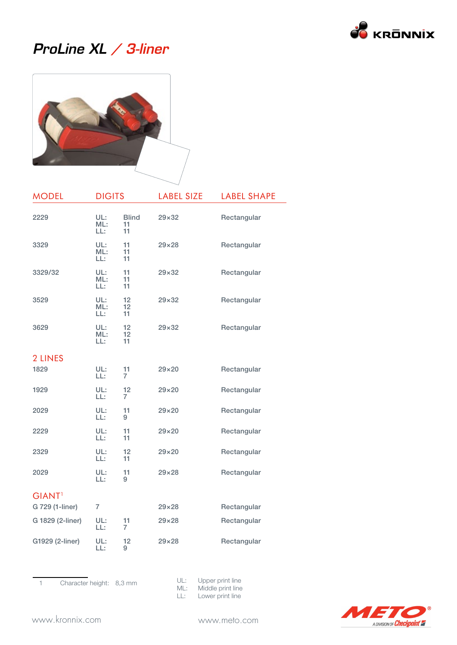

#### ProLine XL / 3-liner



| <b>MODEL</b>     | <b>DIGITS</b>     |                          | <b>LABEL SIZE</b> | <b>LABEL SHAPE</b> |
|------------------|-------------------|--------------------------|-------------------|--------------------|
| 2229             | UL:<br>ML:<br>LL: | <b>Blind</b><br>11<br>11 | $29\times32$      | Rectangular        |
| 3329             | UL:<br>ML:<br>LL: | 11<br>11<br>11           | $29\times28$      | Rectangular        |
| 3329/32          | UL:<br>ML:<br>LL: | 11<br>11<br>11           | $29 \times 32$    | Rectangular        |
| 3529             | UL:<br>ML:<br>LL: | 12<br>12<br>11           | $29\times32$      | Rectangular        |
| 3629             | UL:<br>ML:<br>LL: | 12<br>12<br>11           | $29\times32$      | Rectangular        |
| 2 LINES          |                   |                          |                   |                    |
| 1829             | UL:<br>LL:        | 11<br>7                  | $29\times20$      | Rectangular        |
| 1929             | UL:<br>LL:        | 12<br>$\overline{7}$     | $29\times20$      | Rectangular        |
| 2029             | UL:<br>LL:        | 11<br>9                  | $29\times20$      | Rectangular        |
| 2229             | UL:<br>LL:        | 11<br>11                 | $29\times20$      | Rectangular        |
| 2329             | UL:<br>LL:        | 12<br>11                 | $29 \times 20$    | Rectangular        |
| 2029             | UL:<br>LL:        | 11<br>9                  | $29 \times 28$    | Rectangular        |
| <b>GIANT</b>     |                   |                          |                   |                    |
| G 729 (1-liner)  | 7                 |                          | $29\times28$      | Rectangular        |
| G 1829 (2-liner) | UL:<br>LL:        | 11<br>7                  | 29×28             | Rectangular        |
| G1929 (2-liner)  | UL:<br>LL:        | 12<br>9                  | $29\times28$      | Rectangular        |

1 Character height: 8,3 mm

UL: Upper print line ML: Middle print line LL: Lower print line

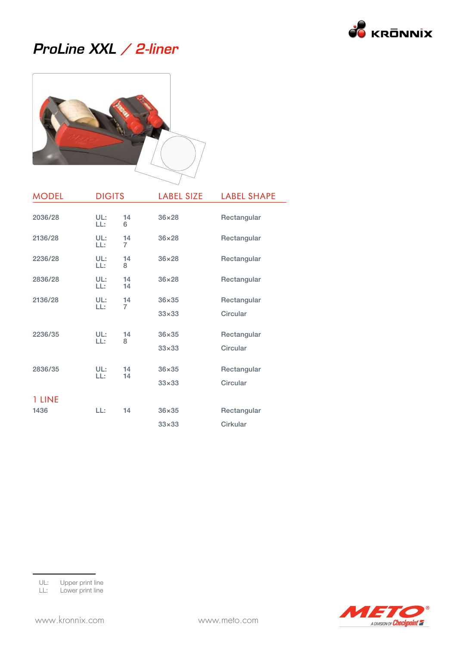

#### ProLine XXL / 2-liner



| <b>MODEL</b>   | <b>DIGITS</b> |                      | <b>LABEL SIZE</b>            | <b>LABEL SHAPE</b>      |
|----------------|---------------|----------------------|------------------------------|-------------------------|
| 2036/28        | UL:<br>LL:    | 14<br>6              | $36\times28$                 | Rectangular             |
| 2136/28        | UL:<br>LL:    | 14<br>$\overline{7}$ | $36\times28$                 | Rectangular             |
| 2236/28        | UL:<br>LL:    | 14<br>8              | $36\times28$                 | Rectangular             |
| 2836/28        | UL:<br>LL:    | 14<br>14             | $36\times28$                 | Rectangular             |
| 2136/28        | UL:<br>LL:    | 14<br>7              | $36\times35$<br>$33\times33$ | Rectangular<br>Circular |
| 2236/35        | UL:<br>LL:    | 14<br>8              | $36\times35$<br>$33\times33$ | Rectangular<br>Circular |
| 2836/35        | UL:<br>LL:    | 14<br>14             | $36\times35$<br>$33\times33$ | Rectangular<br>Circular |
| 1 LINE<br>1436 | LL:           | 14                   | $36\times35$<br>$33\times33$ | Rectangular<br>Cirkular |

LL: Lower print line

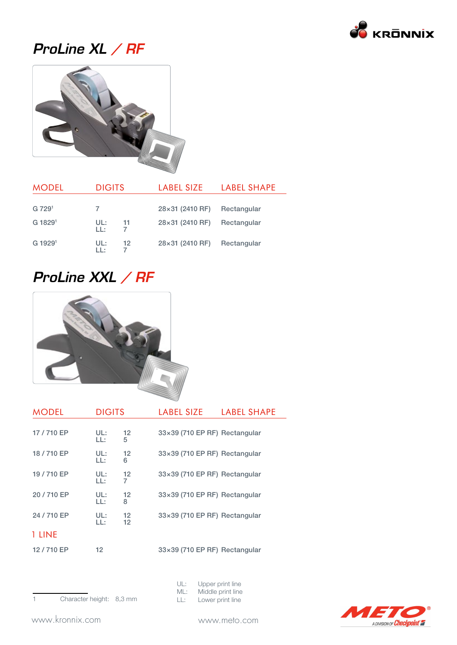

## ProLine XL / RF



| <b>MODEL</b>        | <b>DIGITS</b> |    | LABEL SIZE             | <b>LABEL SHAPE</b> |
|---------------------|---------------|----|------------------------|--------------------|
|                     |               |    |                        |                    |
| G 7291              |               |    | $28\times31$ (2410 RF) | Rectangular        |
| G 1829 <sup>1</sup> | UL:<br>LL:    | 11 | 28×31 (2410 RF)        | Rectangular        |
| G 1929 <sup>1</sup> | UL:<br>1 I :  | 12 | 28×31 (2410 RF)        | Rectangular        |

#### ProLine XXL / RF



| <b>MODEL</b> | <b>DIGITS</b> |                         | <b>LABEL SIZE</b>                    | <b>LABEL SHAPE</b> |
|--------------|---------------|-------------------------|--------------------------------------|--------------------|
| 17/710 EP    | UL:<br>LL:    | $12 \overline{ }$<br>5  | 33×39 (710 EP RF) Rectangular        |                    |
| 18/710 EP    | UL:<br>LL:    | $12 \overline{ }$<br>6  | 33×39 (710 EP RF) Rectangular        |                    |
| 19 / 710 EP  | UL:<br>LL:    | 12<br>7                 | 33×39 (710 EP RF) Rectangular        |                    |
| 20/710 EP    | UL:<br>LL:    | $12 \overline{ }$<br>8  | 33×39 (710 EP RF) Rectangular        |                    |
| 24 / 710 EP  | UL:<br>LL:    | $12 \overline{ }$<br>12 | 33×39 (710 EP RF) Rectangular        |                    |
| 1 LINE       |               |                         |                                      |                    |
| 12/710 EP    | 12            |                         | $33\times39$ (710 EP RF) Rectangular |                    |



| UL: |  | Upper print line |  |  |  |
|-----|--|------------------|--|--|--|
|     |  |                  |  |  |  |

- ML: Middle print line<br>LL: Lower print line
- Lower print line

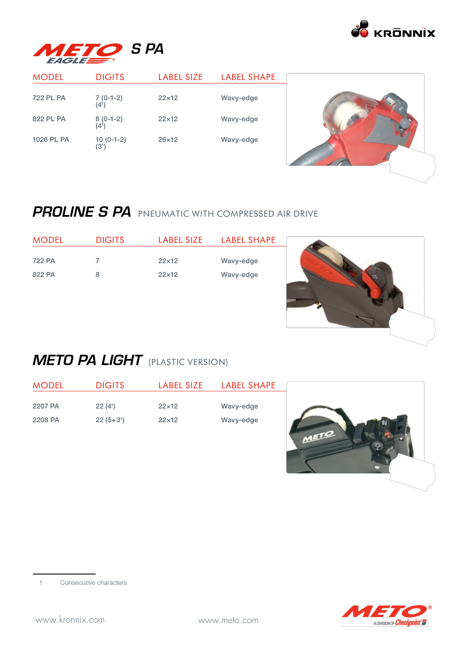



| <b>MODEL</b>     | <b>DIGITS</b>                    | <b>LABEL SIZE</b> | <b>LABEL SHAPE</b> |  |
|------------------|----------------------------------|-------------------|--------------------|--|
| <b>722 PL PA</b> | $7(0-1-2)$<br>$(4^1)$            | $22\times12$      | Wavy-edge          |  |
| 822 PL PA        | $8(0-1-2)$<br>(4 <sup>1</sup> )  | $22\times12$      | Wavy-edge          |  |
| 1026 PL PA       | $10(0-1-2)$<br>(3 <sup>1</sup> ) | $26\times12$      | Wavy-edge          |  |

#### PROLINE S PA PNEUMATIC WITH COMPRESSED AIR DRIVE

| <b>MODEL</b> | <b>DIGITS</b> | LABEL SIZE   | LABEL SHAPE |
|--------------|---------------|--------------|-------------|
|              |               |              |             |
| 722 PA       |               | $22\times12$ | Wavy-edge   |
| 822 PA       | 8             | $22\times12$ | Wavy-edge   |



 $\sqrt{2}$ 

#### **METO PA LIGHT** (PLASTIC VERSION)

| <b>MODEL</b> | <b>DIGITS</b>       | <b>LABEL SIZE</b> | <b>LABEL SHAPE</b> |  |
|--------------|---------------------|-------------------|--------------------|--|
| 2207 PA      | 22(4 <sup>1</sup> ) | $22\times12$      | Wavy-edge          |  |
| 2208 PA      | $22(5+3)$           | $22\times12$      | Wavy-edge          |  |
|              |                     |                   |                    |  |

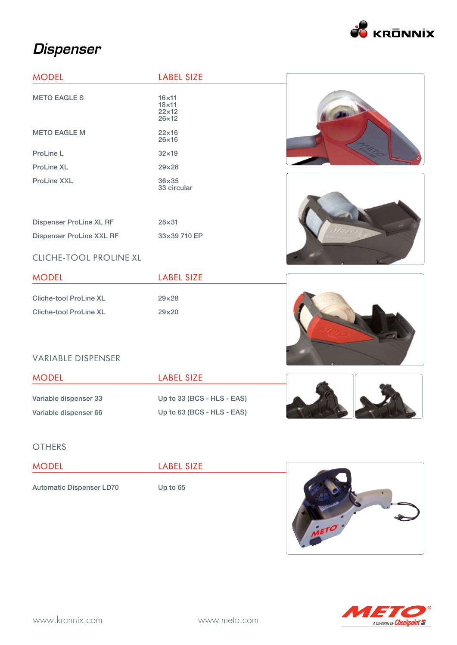

## **Dispenser**

| <b>MODEL</b>                   | <b>LABEL SIZE</b>                                            |  |
|--------------------------------|--------------------------------------------------------------|--|
| <b>METO EAGLE S</b>            | $16\times11$<br>$18\times11$<br>$22\times12$<br>$26\times12$ |  |
| <b>METO EAGLE M</b>            | $22\times16$<br>$26\times16$                                 |  |
| ProLine L                      | $32\times19$                                                 |  |
| <b>ProLine XL</b>              | $29 \times 28$                                               |  |
| <b>ProLine XXL</b>             | $36\times35$<br>33 circular                                  |  |
|                                |                                                              |  |
| <b>Dispenser ProLine XL RF</b> | $28 \times 31$                                               |  |
| Dispenser ProLine XXL RF       | 33×39 710 EP                                                 |  |
| <b>CLICHE-TOOL PROLINE XL</b>  |                                                              |  |
| <b>MODEL</b>                   | <b>LABEL SIZE</b>                                            |  |
| <b>Cliche-tool ProLine XL</b>  | $29\times28$                                                 |  |
| <b>Cliche-tool ProLine XL</b>  | $29\times20$                                                 |  |

#### VARIABLE DISPENSER

| <b>MODEL</b>          | LABEL SIZE                   |  |
|-----------------------|------------------------------|--|
| Variable dispenser 33 | Up to $33$ (BCS - HLS - EAS) |  |
| Variable dispenser 66 | Up to $63$ (BCS - HLS - EAS) |  |

#### **OTHERS**

| <b>MODEL</b>                    | <b>LABEL SIZE</b> |  |
|---------------------------------|-------------------|--|
| <b>Automatic Dispenser LD70</b> | Up to $65$        |  |



METO